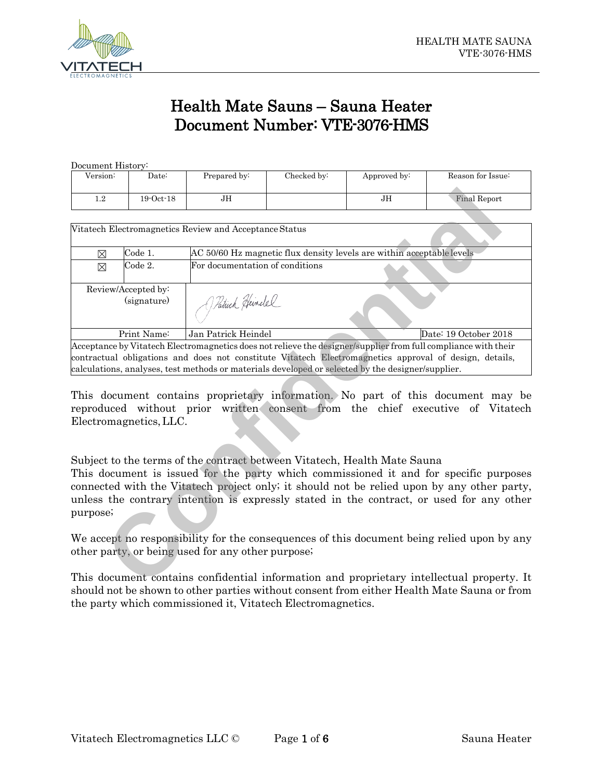

# **Health Mate Sauns – Sauna Heater Document Number: VTE-3076-HMS**

| Document History: |               |              |             |              |                     |
|-------------------|---------------|--------------|-------------|--------------|---------------------|
| Version:          | Date:         | Prepared by: | Checked by: | Approved by: | Reason for Issue:   |
|                   |               |              |             |              |                     |
| $1.2\,$           | $19$ Oct $18$ | JН           |             | JН           | <b>Final Report</b> |
|                   |               |              |             |              |                     |
|                   |               |              |             |              |                     |

| 1.2         | $19$ -Oct- $18$                    | JН                                                                                                |                                                                       | JH | <b>Final Report</b>                                                                                                                                                                                                                                                                                                                                                                          |
|-------------|------------------------------------|---------------------------------------------------------------------------------------------------|-----------------------------------------------------------------------|----|----------------------------------------------------------------------------------------------------------------------------------------------------------------------------------------------------------------------------------------------------------------------------------------------------------------------------------------------------------------------------------------------|
|             |                                    |                                                                                                   |                                                                       |    |                                                                                                                                                                                                                                                                                                                                                                                              |
|             |                                    | Vitatech Electromagnetics Review and Acceptance Status                                            |                                                                       |    |                                                                                                                                                                                                                                                                                                                                                                                              |
| $\boxtimes$ | Code 1.                            |                                                                                                   | AC 50/60 Hz magnetic flux density levels are within acceptable levels |    |                                                                                                                                                                                                                                                                                                                                                                                              |
| ⊠           | Code 2.                            | For documentation of conditions                                                                   |                                                                       |    |                                                                                                                                                                                                                                                                                                                                                                                              |
|             | Review/Accepted by:<br>(signature) | J. Patrick Heinelel                                                                               |                                                                       |    |                                                                                                                                                                                                                                                                                                                                                                                              |
|             | Print Name:                        | Jan Patrick Heindel                                                                               |                                                                       |    | Date: 19 October 2018                                                                                                                                                                                                                                                                                                                                                                        |
|             | Electromagnetics, LLC.             | calculations, analyses, test methods or materials developed or selected by the designer/supplier. |                                                                       |    | Acceptance by Vitatech Electromagnetics does not relieve the designer/supplier from full compliance with their<br>contractual obligations and does not constitute Vitatech Electromagnetics approval of design, details,<br>This document contains proprietary information. No part of this document may be<br>reproduced without prior written consent from the chief executive of Vitatech |
| purpose;    |                                    | Subject to the terms of the contract between Vitatech, Health Mate Sauna                          |                                                                       |    | This document is issued for the party which commissioned it and for specific purposes<br>connected with the Vitatech project only; it should not be relied upon by any other party,<br>unless the contrary intention is expressly stated in the contract, or used for any other                                                                                                              |
|             |                                    | other party, or being used for any other purpose;                                                 |                                                                       |    | We accept no responsibility for the consequences of this document being relied upon by any                                                                                                                                                                                                                                                                                                   |
|             |                                    |                                                                                                   |                                                                       |    | This document contains confidential information and proprietary intellectual property. It                                                                                                                                                                                                                                                                                                    |

This document contains confidential information and proprietary intellectual property. It should not be shown to other parties without consent from either Health Mate Sauna or from the party which commissioned it, Vitatech Electromagnetics.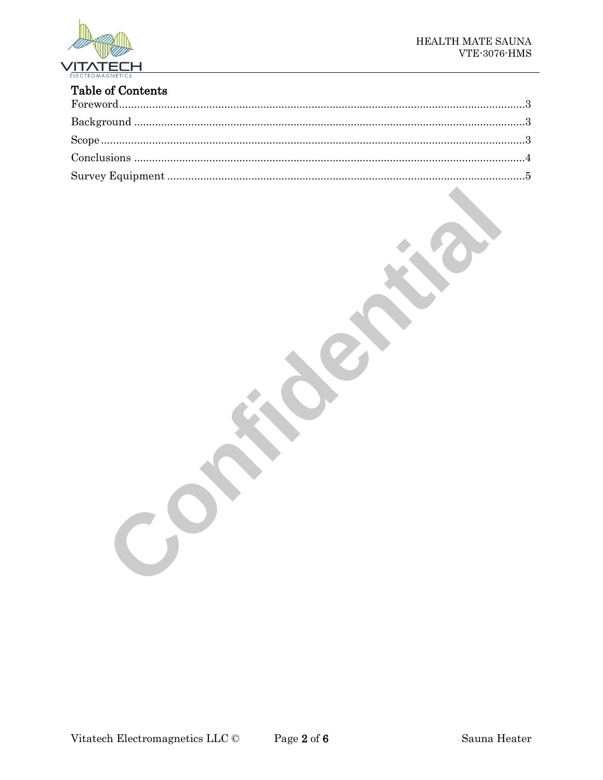

# **Table of Contents**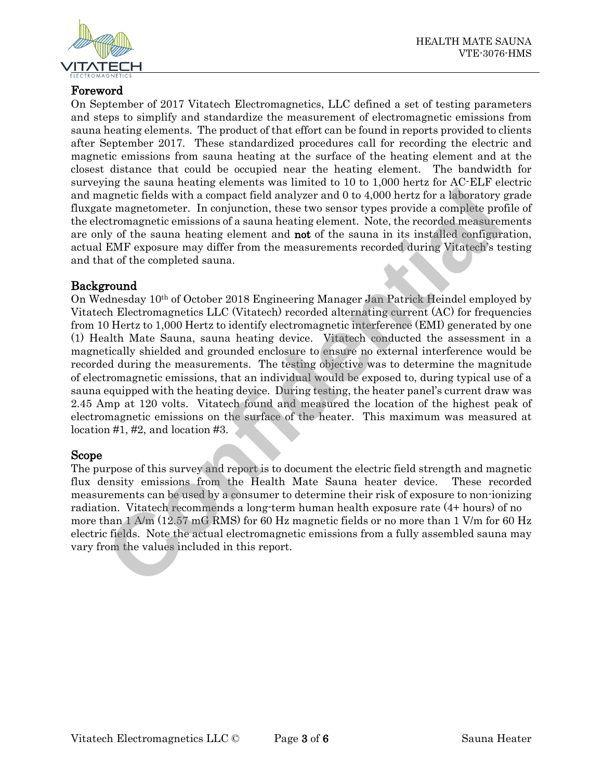

## <span id="page-2-0"></span>**Foreword**

On September of 2017 Vitatech Electromagnetics, LLC defined a set of testing parameters and steps to simplify and standardize the measurement of electromagnetic emissions from sauna heating elements. The product of that effort can be found in reports provided to clients after September 2017. These standardized procedures call for recording the electric and magnetic emissions from sauna heating at the surface of the heating element and at the closest distance that could be occupied near the heating element. The bandwidth for surveying the sauna heating elements was limited to 10 to 1,000 hertz for AC-ELF electric and magnetic fields with a compact field analyzer and 0 to 4,000 hertz for a laboratory grade fluxgate magnetometer. In conjunction, these two sensor types provide a complete profile of the electromagnetic emissions of a sauna heating element. Note, the recorded measurements are only of the sauna heating element and **not** of the sauna in its installed configuration, actual EMF exposure may differ from the measurements recorded during Vitatech's testing and that of the completed sauna.

### <span id="page-2-1"></span>**Background**

On Wednesday 10th of October 2018 Engineering Manager Jan Patrick Heindel employed by Vitatech Electromagnetics LLC (Vitatech) recorded alternating current (AC) for frequencies from 10 Hertz to 1,000 Hertz to identify electromagnetic interference (EMI) generated by one (1) Health Mate Sauna, sauna heating device. Vitatech conducted the assessment in a magnetically shielded and grounded enclosure to ensure no external interference would be recorded during the measurements. The testing objective was to determine the magnitude of electromagnetic emissions, that an individual would be exposed to, during typical use of a sauna equipped with the heating device. During testing, the heater panel's current draw was 2.45 Amp at 120 volts. Vitatech found and measured the location of the highest peak of electromagnetic emissions on the surface of the heater. This maximum was measured at location #1, #2, and location #3. agnetic fields with a compact field analyzer and 0 to 4,000 hertz for a laboratory<br>etermagnetic emissions of a sauna heating element. Note, the recorded a complete pre-<br>etcromagnetic emissions of a sauna heating element. N

#### <span id="page-2-2"></span>**Scope**

The purpose of this survey and report is to document the electric field strength and magnetic flux density emissions from the Health Mate Sauna heater device. These recorded measurements can be used by a consumer to determine their risk of exposure to non-ionizing radiation. Vitatech recommends a long-term human health exposure rate (4+ hours) of no more than  $1 \text{ A/m}$  (12.57 mG RMS) for 60 Hz magnetic fields or no more than 1 V/m for 60 Hz electric fields. Note the actual electromagnetic emissions from a fully assembled sauna may vary from the values included in this report.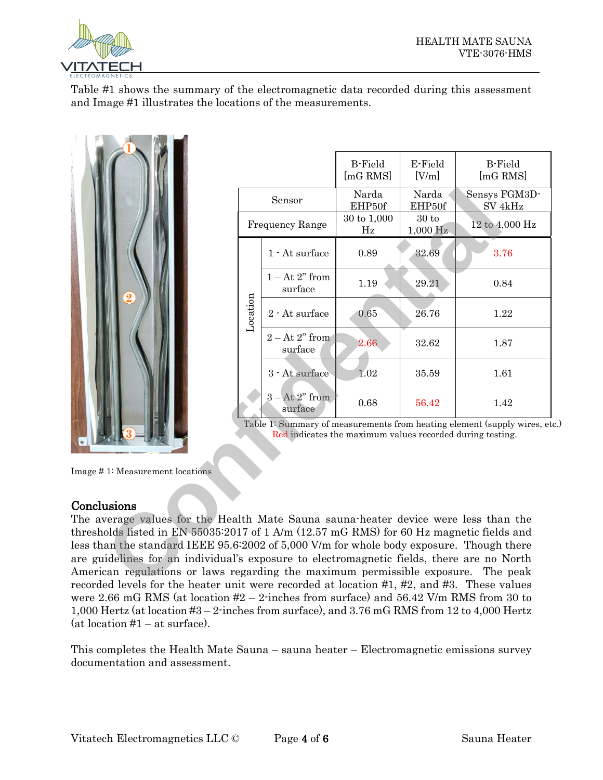

Table #1 shows the summary of the electromagnetic data recorded during this assessment and Image #1 illustrates the locations of the measurements.



|                                                                                                                                                                                                                                                                                                                                                                                                                                                                                                                                                                                                                                                                                                                                                                                                        |                                                                                                                                      |                             | <b>B-Field</b><br>[mG RMS] | E-Field<br>[V/m]  | <b>B-Field</b><br>[mG RMS]          |  |
|--------------------------------------------------------------------------------------------------------------------------------------------------------------------------------------------------------------------------------------------------------------------------------------------------------------------------------------------------------------------------------------------------------------------------------------------------------------------------------------------------------------------------------------------------------------------------------------------------------------------------------------------------------------------------------------------------------------------------------------------------------------------------------------------------------|--------------------------------------------------------------------------------------------------------------------------------------|-----------------------------|----------------------------|-------------------|-------------------------------------|--|
|                                                                                                                                                                                                                                                                                                                                                                                                                                                                                                                                                                                                                                                                                                                                                                                                        | Sensor                                                                                                                               |                             | Narda<br>EHP50f            | Narda<br>EHP50f   | Sensys FGM3D-<br>SV <sub>4kHz</sub> |  |
|                                                                                                                                                                                                                                                                                                                                                                                                                                                                                                                                                                                                                                                                                                                                                                                                        | Frequency Range                                                                                                                      |                             | 30 to 1,000<br>Hz          | 30 to<br>1,000 Hz | 12 to 4,000 Hz                      |  |
|                                                                                                                                                                                                                                                                                                                                                                                                                                                                                                                                                                                                                                                                                                                                                                                                        | Location                                                                                                                             | 1 - At surface              | 0.89                       | 32.69             | 3.76                                |  |
|                                                                                                                                                                                                                                                                                                                                                                                                                                                                                                                                                                                                                                                                                                                                                                                                        |                                                                                                                                      | $1 - At 2"$ from<br>surface | 1.19                       | 29.21             | 0.84                                |  |
|                                                                                                                                                                                                                                                                                                                                                                                                                                                                                                                                                                                                                                                                                                                                                                                                        |                                                                                                                                      | 2 - At surface              | 0.65                       | 26.76             | 1.22                                |  |
|                                                                                                                                                                                                                                                                                                                                                                                                                                                                                                                                                                                                                                                                                                                                                                                                        |                                                                                                                                      | $2 - At 2" from$<br>surface | 2.66                       | 32.62             | 1.87                                |  |
|                                                                                                                                                                                                                                                                                                                                                                                                                                                                                                                                                                                                                                                                                                                                                                                                        |                                                                                                                                      | 3 - At surface              | 1.02                       | 35.59             | 1.61                                |  |
|                                                                                                                                                                                                                                                                                                                                                                                                                                                                                                                                                                                                                                                                                                                                                                                                        |                                                                                                                                      | $3 - At 2"$ from<br>surface | 0.68                       | 56.42             | 1.42                                |  |
|                                                                                                                                                                                                                                                                                                                                                                                                                                                                                                                                                                                                                                                                                                                                                                                                        | Table 1: Summary of measurements from heating element (supply wires, et<br>Red indicates the maximum values recorded during testing. |                             |                            |                   |                                     |  |
| Image #1: Measurement locations                                                                                                                                                                                                                                                                                                                                                                                                                                                                                                                                                                                                                                                                                                                                                                        |                                                                                                                                      |                             |                            |                   |                                     |  |
| Conclusions<br>The average values for the Health Mate Sauna sauna heater device were less than the<br>thresholds listed in EN 55035:2017 of 1 A/m (12.57 mG RMS) for 60 Hz magnetic fields and<br>less than the standard IEEE 95.6:2002 of 5,000 V/m for whole body exposure. Though there<br>are guidelines for an individual's exposure to electromagnetic fields, there are no North<br>American regulations or laws regarding the maximum permissible exposure.<br>recorded levels for the heater unit were recorded at location #1, #2, and #3. These values<br>were 2.66 mG RMS (at location $#2 - 2$ -inches from surface) and 56.42 V/m RMS from 30 to<br>1,000 Hertz (at location $\#3 - 2$ -inches from surface), and 3.76 mG RMS from 12 to 4,000 Hertz<br>$(at location #1 - at surface).$ |                                                                                                                                      |                             |                            |                   | The peak                            |  |
| This completes the Health Mate Sauna – sauna heater – Electromagnetic emissions survey<br>documentation and assessment.                                                                                                                                                                                                                                                                                                                                                                                                                                                                                                                                                                                                                                                                                |                                                                                                                                      |                             |                            |                   |                                     |  |

#### <span id="page-3-0"></span>**Conclusions**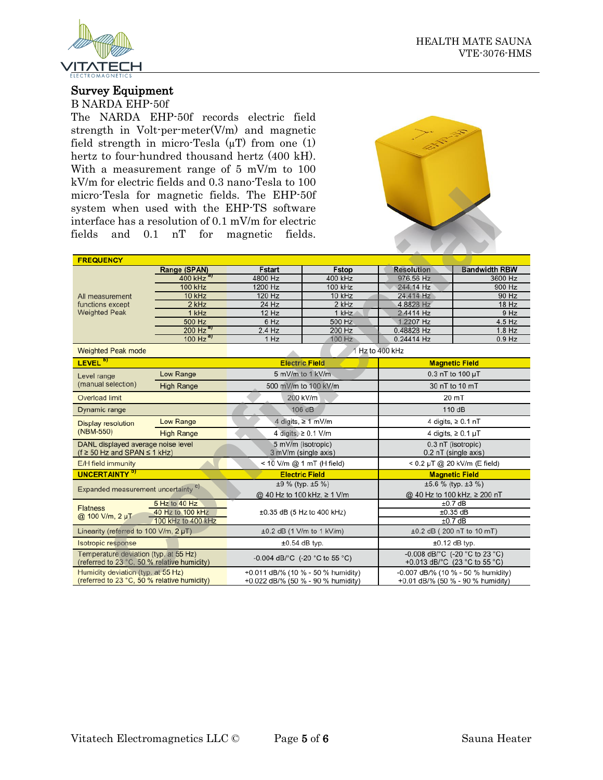



#### <span id="page-4-0"></span>**Survey Equipment**

B NARDA EHP-50f

The NARDA EHP-50f records electric field strength in Volt-per-meter(V/m) and magnetic field strength in micro-Tesla  $(\mu T)$  from one (1) hertz to four-hundred thousand hertz (400 kH). With a measurement range of 5 mV/m to 100 kV/m for electric fields and 0.3 nano-Tesla to 100 micro-Tesla for magnetic fields. The EHP-50f system when used with the EHP-TS software interface has a resolution of 0.1 mV/m for electric fields and 0.1 nT for magnetic fields.



| micro-Tesla for magnetic fields. The EHP-50f<br>system when used with the EHP-TS software<br>interface has a resolution of 0.1 mV/m for electric<br>0.1<br>fields<br>and | nT<br>for                | fields.<br>magnetic                                                      |                                                          |                                                                         |                      |  |
|--------------------------------------------------------------------------------------------------------------------------------------------------------------------------|--------------------------|--------------------------------------------------------------------------|----------------------------------------------------------|-------------------------------------------------------------------------|----------------------|--|
| <b>FREQUENCY</b>                                                                                                                                                         |                          |                                                                          |                                                          |                                                                         |                      |  |
|                                                                                                                                                                          | Range (SPAN)             | <b>Fstart</b>                                                            | <b>Fstop</b>                                             | <b>Resolution</b>                                                       | <b>Bandwidth RBW</b> |  |
|                                                                                                                                                                          | 400 kHz <sup>a)</sup>    | 4800 Hz                                                                  | 400 kHz                                                  | 976.56 Hz                                                               | 3600 Hz              |  |
|                                                                                                                                                                          | <b>100 kHz</b>           | 1200 Hz                                                                  | 100 kHz                                                  | 244.14 Hz                                                               | 900 Hz               |  |
| All measurement                                                                                                                                                          | 10 kHz                   | 120 Hz                                                                   | 10 kHz                                                   | 24.414 Hz                                                               | 90 Hz                |  |
| functions except                                                                                                                                                         | $2$ kHz                  | $24$ Hz                                                                  | 2 kHz                                                    | 4.8828 Hz                                                               | $18$ Hz              |  |
| <b>Weighted Peak</b>                                                                                                                                                     | 1 kHz                    | 12 Hz                                                                    | 1 kHz                                                    | 2.4414 Hz                                                               | 9 Hz                 |  |
|                                                                                                                                                                          | 500 Hz                   | 6 Hz                                                                     | 500 Hz                                                   | 1.2207 Hz                                                               | 4.5 Hz               |  |
|                                                                                                                                                                          | $200$ Hz $^{\mathsf{a}}$ | $2.4$ Hz                                                                 | 200 Hz                                                   | 0.48828 Hz                                                              | $1.8$ Hz             |  |
|                                                                                                                                                                          | $100$ Hz $\frac{a}{b}$   | 1 Hz                                                                     | 100 Hz                                                   | 0.24414 Hz                                                              | $0.9$ Hz             |  |
| <b>Weighted Peak mode</b>                                                                                                                                                |                          |                                                                          |                                                          | 1 Hz to 400 kHz                                                         |                      |  |
| LEVEL <sup>b)</sup>                                                                                                                                                      |                          | <b>Electric Field</b>                                                    |                                                          | <b>Magnetic Field</b>                                                   |                      |  |
| Level range                                                                                                                                                              | Low Range                | 5 mV/m to 1 kV/m                                                         |                                                          | 0.3 nT to 100 µT                                                        |                      |  |
| (manual selection)                                                                                                                                                       | <b>High Range</b>        | 500 mV/m to 100 kV/m                                                     |                                                          | 30 nT to 10 mT                                                          |                      |  |
| Overload limit                                                                                                                                                           |                          | 200 kV/m                                                                 |                                                          |                                                                         | 20 mT                |  |
| Dynamic range                                                                                                                                                            |                          | 106 dB                                                                   |                                                          | 110 dB                                                                  |                      |  |
| <b>Display resolution</b>                                                                                                                                                | Low Range                |                                                                          | 4 digits, $\geq 1$ mV/m                                  | 4 digits, $\geq 0.1$ nT                                                 |                      |  |
| (NBM-550)                                                                                                                                                                | <b>High Range</b>        | 4 digits, ≥ 0.1 V/m                                                      |                                                          | 4 digits, $\geq 0.1 \mu T$                                              |                      |  |
| DANL displayed average noise level<br>$(f \ge 50$ Hz and SPAN $\le 1$ kHz)                                                                                               |                          | 5 mV/m (isotropic)<br>3 mV/m (single axis)                               |                                                          | 0.3 nT (isotropic)<br>0.2 nT (single axis)                              |                      |  |
| E/H field immunity                                                                                                                                                       |                          | < 10 V/m @ 1 mT (H field)                                                |                                                          | < 0.2 µT @ 20 kV/m (E field)                                            |                      |  |
| <b>UNCERTAINTY<sup>b)</sup></b>                                                                                                                                          |                          |                                                                          | <b>Electric Field</b><br><b>Magnetic Field</b>           |                                                                         |                      |  |
| Expanded measurement uncertainty <sup>c)</sup>                                                                                                                           |                          | $±9$ % (typ. $±5$ %)                                                     |                                                          | $±5.6$ % (typ. $±3$ %)                                                  |                      |  |
|                                                                                                                                                                          |                          | @ 40 Hz to 100 kHz, ≥ 1 V/m                                              |                                                          | @ 40 Hz to 100 kHz, ≥ 200 nT                                            |                      |  |
|                                                                                                                                                                          | 5 Hz to 40 Hz            |                                                                          |                                                          | $±0.7$ dB                                                               |                      |  |
| <b>Flatness</b><br>40 Hz to 100 kHz<br>@ 100 V/m, 2 µT                                                                                                                   |                          | $±0.35$ dB (5 Hz to 400 kHz)                                             |                                                          | $±0.35$ dB                                                              |                      |  |
|                                                                                                                                                                          | 100 kHz to 400 kHz       |                                                                          |                                                          | $±0.7$ dB                                                               |                      |  |
| Linearity (referred to 100 V/m, 2 µT)                                                                                                                                    |                          |                                                                          | ±0.2 dB (200 nT to 10 mT)<br>$±0.2$ dB (1 V/m to 1 kV/m) |                                                                         |                      |  |
| Isotropic response                                                                                                                                                       |                          |                                                                          | $±0.54$ dB typ.<br>$±0.12$ dB typ.                       |                                                                         |                      |  |
| Temperature deviation (typ. at 55 Hz)<br>(referred to 23 °C, 50 % relative humidity)                                                                                     |                          | -0.004 dB/°C (-20 °C to 55 °C)                                           |                                                          | -0.008 dB/°C (-20 °C to 23 °C)<br>+0.013 dB/°C (23 °C to 55 °C)         |                      |  |
| Humidity deviation (typ. at 55 Hz)<br>(referred to 23 °C, 50 % relative humidity)                                                                                        |                          | +0.011 dB/% (10 % - 50 % humidity)<br>+0.022 dB/% (50 % - 90 % humidity) |                                                          | -0.007 dB/% (10 % - 50 % humidity)<br>+0.01 dB/% (50 % - 90 % humidity) |                      |  |